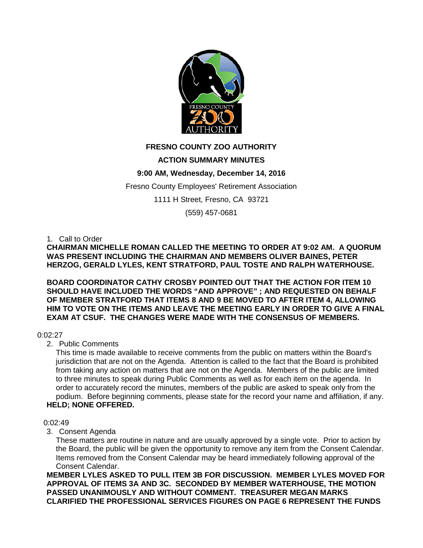

# **FRESNO COUNTY ZOO AUTHORITY**

# **ACTION SUMMARY MINUTES**

# **9:00 AM, Wednesday, December 14, 2016**

Fresno County Employees' Retirement Association

1111 H Street, Fresno, CA 93721

(559) 457-0681

## 1. Call to Order

**CHAIRMAN MICHELLE ROMAN CALLED THE MEETING TO ORDER AT 9:02 AM. A QUORUM WAS PRESENT INCLUDING THE CHAIRMAN AND MEMBERS OLIVER BAINES, PETER HERZOG, GERALD LYLES, KENT STRATFORD, PAUL TOSTE AND RALPH WATERHOUSE.** 

**BOARD COORDINATOR CATHY CROSBY POINTED OUT THAT THE ACTION FOR ITEM 10 SHOULD HAVE INCLUDED THE WORDS "AND APPROVE" ; AND REQUESTED ON BEHALF OF MEMBER STRATFORD THAT ITEMS 8 AND 9 BE MOVED TO AFTER ITEM 4, ALLOWING HIM TO VOTE ON THE ITEMS AND LEAVE THE MEETING EARLY IN ORDER TO GIVE A FINAL EXAM AT CSUF. THE CHANGES WERE MADE WITH THE CONSENSUS OF MEMBERS.**

# 0:02:27

2. Public Comments

This time is made available to receive comments from the public on matters within the Board's jurisdiction that are not on the Agenda. Attention is called to the fact that the Board is prohibited from taking any action on matters that are not on the Agenda. Members of the public are limited to three minutes to speak during Public Comments as well as for each item on the agenda. In order to accurately record the minutes, members of the public are asked to speak only from the podium. Before beginning comments, please state for the record your name and affiliation, if any. **HELD; NONE OFFERED.**

#### 0:02:49

3. Consent Agenda

These matters are routine in nature and are usually approved by a single vote. Prior to action by the Board, the public will be given the opportunity to remove any item from the Consent Calendar. Items removed from the Consent Calendar may be heard immediately following approval of the Consent Calendar.

**MEMBER LYLES ASKED TO PULL ITEM 3B FOR DISCUSSION. MEMBER LYLES MOVED FOR APPROVAL OF ITEMS 3A AND 3C. SECONDED BY MEMBER WATERHOUSE, THE MOTION PASSED UNANIMOUSLY AND WITHOUT COMMENT. TREASURER MEGAN MARKS CLARIFIED THE PROFESSIONAL SERVICES FIGURES ON PAGE 6 REPRESENT THE FUNDS**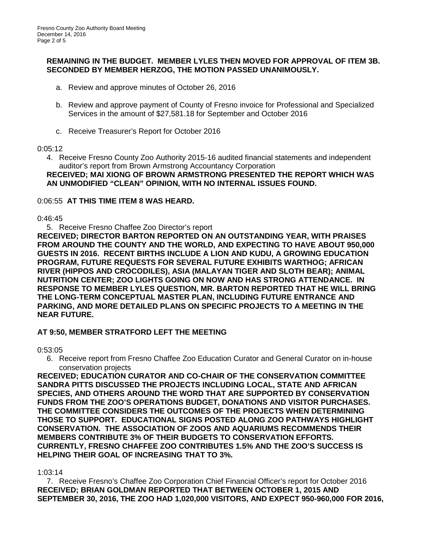## **REMAINING IN THE BUDGET. MEMBER LYLES THEN MOVED FOR APPROVAL OF ITEM 3B. SECONDED BY MEMBER HERZOG, THE MOTION PASSED UNANIMOUSLY.**

- a. Review and approve minutes of October 26, 2016
- b. Review and approve payment of County of Fresno invoice for Professional and Specialized Services in the amount of \$27,581.18 for September and October 2016
- c. Receive Treasurer's Report for October 2016

#### $0.05:12$

4. Receive Fresno County Zoo Authority 2015-16 audited financial statements and independent auditor's report from Brown Armstrong Accountancy Corporation **RECEIVED; MAI XIONG OF BROWN ARMSTRONG PRESENTED THE REPORT WHICH WAS AN UNMODIFIED "CLEAN" OPINION, WITH NO INTERNAL ISSUES FOUND.** 

# 0:06:55 **AT THIS TIME ITEM 8 WAS HEARD.**

## $0.46.45$

5. Receive Fresno Chaffee Zoo Director's report

**RECEIVED; DIRECTOR BARTON REPORTED ON AN OUTSTANDING YEAR, WITH PRAISES FROM AROUND THE COUNTY AND THE WORLD, AND EXPECTING TO HAVE ABOUT 950,000 GUESTS IN 2016. RECENT BIRTHS INCLUDE A LION AND KUDU, A GROWING EDUCATION PROGRAM, FUTURE REQUESTS FOR SEVERAL FUTURE EXHIBITS WARTHOG; AFRICAN RIVER (HIPPOS AND CROCODILES), ASIA (MALAYAN TIGER AND SLOTH BEAR); ANIMAL NUTRITION CENTER; ZOO LIGHTS GOING ON NOW AND HAS STRONG ATTENDANCE. IN RESPONSE TO MEMBER LYLES QUESTION, MR. BARTON REPORTED THAT HE WILL BRING THE LONG-TERM CONCEPTUAL MASTER PLAN, INCLUDING FUTURE ENTRANCE AND PARKING, AND MORE DETAILED PLANS ON SPECIFIC PROJECTS TO A MEETING IN THE NEAR FUTURE.**

# **AT 9:50, MEMBER STRATFORD LEFT THE MEETING**

0:53:05

6. Receive report from Fresno Chaffee Zoo Education Curator and General Curator on in-house conservation projects

**RECEIVED; EDUCATION CURATOR AND CO-CHAIR OF THE CONSERVATION COMMITTEE SANDRA PITTS DISCUSSED THE PROJECTS INCLUDING LOCAL, STATE AND AFRICAN SPECIES, AND OTHERS AROUND THE WORD THAT ARE SUPPORTED BY CONSERVATION FUNDS FROM THE ZOO'S OPERATIONS BUDGET, DONATIONS AND VISITOR PURCHASES. THE COMMITTEE CONSIDERS THE OUTCOMES OF THE PROJECTS WHEN DETERMINING THOSE TO SUPPORT. EDUCATIONAL SIGNS POSTED ALONG ZOO PATHWAYS HIGHLIGHT CONSERVATION. THE ASSOCIATION OF ZOOS AND AQUARIUMS RECOMMENDS THEIR MEMBERS CONTRIBUTE 3% OF THEIR BUDGETS TO CONSERVATION EFFORTS. CURRENTLY, FRESNO CHAFFEE ZOO CONTRIBUTES 1.5% AND THE ZOO'S SUCCESS IS HELPING THEIR GOAL OF INCREASING THAT TO 3%.** 

1:03:14

7. Receive Fresno's Chaffee Zoo Corporation Chief Financial Officer's report for October 2016 **RECEIVED; BRIAN GOLDMAN REPORTED THAT BETWEEN OCTOBER 1, 2015 AND SEPTEMBER 30, 2016, THE ZOO HAD 1,020,000 VISITORS, AND EXPECT 950-960,000 FOR 2016,**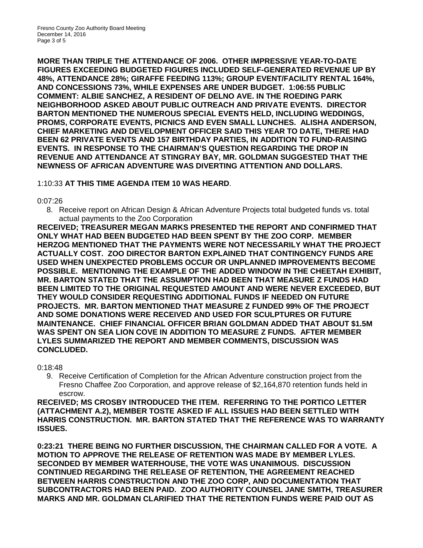**MORE THAN TRIPLE THE ATTENDANCE OF 2006. OTHER IMPRESSIVE YEAR-TO-DATE FIGURES EXCEEDING BUDGETED FIGURES INCLUDED SELF-GENERATED REVENUE UP BY 48%, ATTENDANCE 28%; GIRAFFE FEEDING 113%; GROUP EVENT/FACILITY RENTAL 164%, AND CONCESSIONS 73%, WHILE EXPENSES ARE UNDER BUDGET. 1:06:55 PUBLIC COMMENT: ALBIE SANCHEZ, A RESIDENT OF DELNO AVE. IN THE ROEDING PARK NEIGHBORHOOD ASKED ABOUT PUBLIC OUTREACH AND PRIVATE EVENTS. DIRECTOR BARTON MENTIONED THE NUMEROUS SPECIAL EVENTS HELD, INCLUDING WEDDINGS, PROMS, CORPORATE EVENTS, PICNICS AND EVEN SMALL LUNCHES. ALISHA ANDERSON, CHIEF MARKETING AND DEVELOPMENT OFFICER SAID THIS YEAR TO DATE, THERE HAD BEEN 62 PRIVATE EVENTS AND 157 BIRTHDAY PARTIES, IN ADDITION TO FUND-RAISING EVENTS. IN RESPONSE TO THE CHAIRMAN'S QUESTION REGARDING THE DROP IN REVENUE AND ATTENDANCE AT STINGRAY BAY, MR. GOLDMAN SUGGESTED THAT THE NEWNESS OF AFRICAN ADVENTURE WAS DIVERTING ATTENTION AND DOLLARS.**

# 1:10:33 **AT THIS TIME AGENDA ITEM 10 WAS HEARD**.

## 0:07:26

8. Receive report on African Design & African Adventure Projects total budgeted funds vs. total actual payments to the Zoo Corporation

**RECEIVED; TREASURER MEGAN MARKS PRESENTED THE REPORT AND CONFIRMED THAT ONLY WHAT HAD BEEN BUDGETED HAD BEEN SPENT BY THE ZOO CORP. MEMBER HERZOG MENTIONED THAT THE PAYMENTS WERE NOT NECESSARILY WHAT THE PROJECT ACTUALLY COST. ZOO DIRECTOR BARTON EXPLAINED THAT CONTINGENCY FUNDS ARE USED WHEN UNEXPECTED PROBLEMS OCCUR OR UNPLANNED IMPROVEMENTS BECOME POSSIBLE. MENTIONING THE EXAMPLE OF THE ADDED WINDOW IN THE CHEETAH EXHIBIT, MR. BARTON STATED THAT THE ASSUMPTION HAD BEEN THAT MEASURE Z FUNDS HAD BEEN LIMITED TO THE ORIGINAL REQUESTED AMOUNT AND WERE NEVER EXCEEDED, BUT THEY WOULD CONSIDER REQUESTING ADDITIONAL FUNDS IF NEEDED ON FUTURE PROJECTS. MR. BARTON MENTIONED THAT MEASURE Z FUNDED 99% OF THE PROJECT AND SOME DONATIONS WERE RECEIVED AND USED FOR SCULPTURES OR FUTURE MAINTENANCE. CHIEF FINANCIAL OFFICER BRIAN GOLDMAN ADDED THAT ABOUT \$1.5M WAS SPENT ON SEA LION COVE IN ADDITION TO MEASURE Z FUNDS. AFTER MEMBER LYLES SUMMARIZED THE REPORT AND MEMBER COMMENTS, DISCUSSION WAS CONCLUDED.**

0:18:48

9. Receive Certification of Completion for the African Adventure construction project from the Fresno Chaffee Zoo Corporation, and approve release of \$2,164,870 retention funds held in escrow.

**RECEIVED; MS CROSBY INTRODUCED THE ITEM. REFERRING TO THE PORTICO LETTER (ATTACHMENT A.2), MEMBER TOSTE ASKED IF ALL ISSUES HAD BEEN SETTLED WITH HARRIS CONSTRUCTION. MR. BARTON STATED THAT THE REFERENCE WAS TO WARRANTY ISSUES.** 

**0:23:21 THERE BEING NO FURTHER DISCUSSION, THE CHAIRMAN CALLED FOR A VOTE. A MOTION TO APPROVE THE RELEASE OF RETENTION WAS MADE BY MEMBER LYLES. SECONDED BY MEMBER WATERHOUSE, THE VOTE WAS UNANIMOUS. DISCUSSION CONTINUED REGARDING THE RELEASE OF RETENTION, THE AGREEMENT REACHED BETWEEN HARRIS CONSTRUCTION AND THE ZOO CORP, AND DOCUMENTATION THAT SUBCONTRACTORS HAD BEEN PAID. ZOO AUTHORITY COUNSEL JANE SMITH, TREASURER MARKS AND MR. GOLDMAN CLARIFIED THAT THE RETENTION FUNDS WERE PAID OUT AS**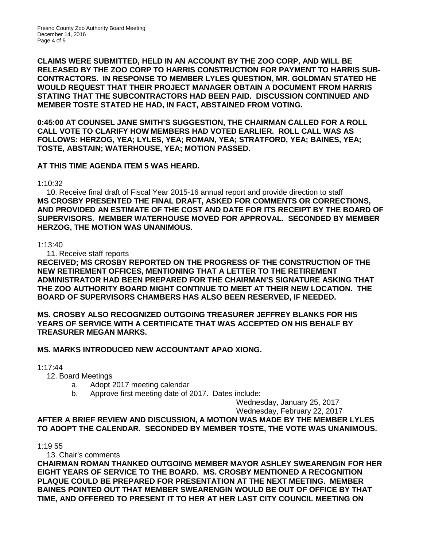**CLAIMS WERE SUBMITTED, HELD IN AN ACCOUNT BY THE ZOO CORP, AND WILL BE RELEASED BY THE ZOO CORP TO HARRIS CONSTRUCTION FOR PAYMENT TO HARRIS SUB-CONTRACTORS. IN RESPONSE TO MEMBER LYLES QUESTION, MR. GOLDMAN STATED HE WOULD REQUEST THAT THEIR PROJECT MANAGER OBTAIN A DOCUMENT FROM HARRIS STATING THAT THE SUBCONTRACTORS HAD BEEN PAID. DISCUSSION CONTINUED AND MEMBER TOSTE STATED HE HAD, IN FACT, ABSTAINED FROM VOTING.** 

**0:45:00 AT COUNSEL JANE SMITH'S SUGGESTION, THE CHAIRMAN CALLED FOR A ROLL CALL VOTE TO CLARIFY HOW MEMBERS HAD VOTED EARLIER. ROLL CALL WAS AS FOLLOWS: HERZOG, YEA; LYLES, YEA; ROMAN, YEA; STRATFORD, YEA; BAINES, YEA; TOSTE, ABSTAIN; WATERHOUSE, YEA; MOTION PASSED.**

# **AT THIS TIME AGENDA ITEM 5 WAS HEARD.**

1:10:32

10. Receive final draft of Fiscal Year 2015-16 annual report and provide direction to staff **MS CROSBY PRESENTED THE FINAL DRAFT, ASKED FOR COMMENTS OR CORRECTIONS, AND PROVIDED AN ESTIMATE OF THE COST AND DATE FOR ITS RECEIPT BY THE BOARD OF SUPERVISORS. MEMBER WATERHOUSE MOVED FOR APPROVAL. SECONDED BY MEMBER HERZOG, THE MOTION WAS UNANIMOUS.**

## 1:13:40

11. Receive staff reports

**RECEIVED; MS CROSBY REPORTED ON THE PROGRESS OF THE CONSTRUCTION OF THE NEW RETIREMENT OFFICES, MENTIONING THAT A LETTER TO THE RETIREMENT ADMINISTRATOR HAD BEEN PREPARED FOR THE CHAIRMAN'S SIGNATURE ASKING THAT THE ZOO AUTHORITY BOARD MIGHT CONTINUE TO MEET AT THEIR NEW LOCATION. THE BOARD OF SUPERVISORS CHAMBERS HAS ALSO BEEN RESERVED, IF NEEDED.**

**MS. CROSBY ALSO RECOGNIZED OUTGOING TREASURER JEFFREY BLANKS FOR HIS YEARS OF SERVICE WITH A CERTIFICATE THAT WAS ACCEPTED ON HIS BEHALF BY TREASURER MEGAN MARKS.** 

# **MS. MARKS INTRODUCED NEW ACCOUNTANT APAO XIONG.**

1:17:44

- 12. Board Meetings
	- a. Adopt 2017 meeting calendar
	- b. Approve first meeting date of 2017. Dates include:

Wednesday, January 25, 2017

Wednesday, February 22, 2017

#### **AFTER A BRIEF REVIEW AND DISCUSSION, A MOTION WAS MADE BY THE MEMBER LYLES TO ADOPT THE CALENDAR. SECONDED BY MEMBER TOSTE, THE VOTE WAS UNANIMOUS.**

1:19 55

13. Chair's comments

**CHAIRMAN ROMAN THANKED OUTGOING MEMBER MAYOR ASHLEY SWEARENGIN FOR HER EIGHT YEARS OF SERVICE TO THE BOARD. MS. CROSBY MENTIONED A RECOGNITION PLAQUE COULD BE PREPARED FOR PRESENTATION AT THE NEXT MEETING. MEMBER BAINES POINTED OUT THAT MEMBER SWEARENGIN WOULD BE OUT OF OFFICE BY THAT TIME, AND OFFERED TO PRESENT IT TO HER AT HER LAST CITY COUNCIL MEETING ON**